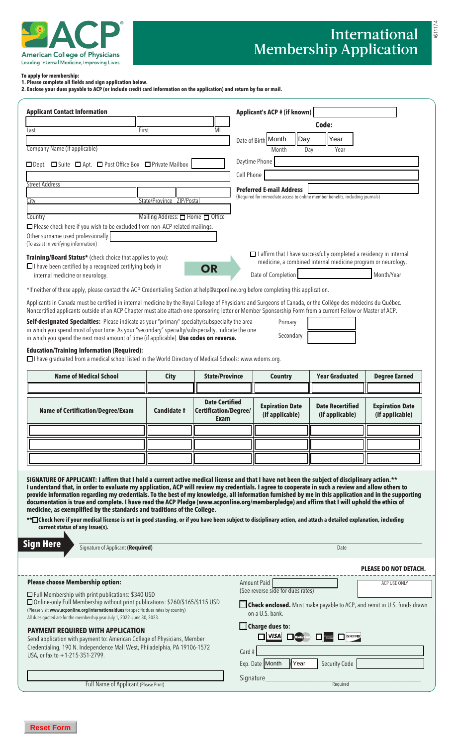

AS1117-4

#### **To apply for membership:**

**1. Please complete all fields and sign application below.** 

**2. Enclose your dues payable to ACP (or include credit card information on the application) and return by fax or mail.**

| <b>Applicant Contact Information</b>                                                                                                                                                                                                                                                                                                                                                                                                                                                                                                                                                                                                                                                                                                                                                                                                                                                                                                                |                                  |                                                        |            | Applicant's ACP # (if known)                                                  |                                            |                                                                                |
|-----------------------------------------------------------------------------------------------------------------------------------------------------------------------------------------------------------------------------------------------------------------------------------------------------------------------------------------------------------------------------------------------------------------------------------------------------------------------------------------------------------------------------------------------------------------------------------------------------------------------------------------------------------------------------------------------------------------------------------------------------------------------------------------------------------------------------------------------------------------------------------------------------------------------------------------------------|----------------------------------|--------------------------------------------------------|------------|-------------------------------------------------------------------------------|--------------------------------------------|--------------------------------------------------------------------------------|
| First<br>Last                                                                                                                                                                                                                                                                                                                                                                                                                                                                                                                                                                                                                                                                                                                                                                                                                                                                                                                                       |                                  | MI                                                     |            |                                                                               | Code:                                      |                                                                                |
|                                                                                                                                                                                                                                                                                                                                                                                                                                                                                                                                                                                                                                                                                                                                                                                                                                                                                                                                                     |                                  |                                                        |            | Date of Birth Month<br>Day                                                    | Year                                       |                                                                                |
| Company Name (if applicable)                                                                                                                                                                                                                                                                                                                                                                                                                                                                                                                                                                                                                                                                                                                                                                                                                                                                                                                        |                                  |                                                        |            | Month                                                                         | Year<br>Day                                |                                                                                |
| □ Dept. □ Suite □ Apt. □ Post Office Box □ Private Mailbox                                                                                                                                                                                                                                                                                                                                                                                                                                                                                                                                                                                                                                                                                                                                                                                                                                                                                          |                                  |                                                        |            | Daytime Phone                                                                 |                                            |                                                                                |
|                                                                                                                                                                                                                                                                                                                                                                                                                                                                                                                                                                                                                                                                                                                                                                                                                                                                                                                                                     |                                  |                                                        | Cell Phone |                                                                               |                                            |                                                                                |
| <b>Street Address</b>                                                                                                                                                                                                                                                                                                                                                                                                                                                                                                                                                                                                                                                                                                                                                                                                                                                                                                                               |                                  |                                                        |            | <b>Preferred E-mail Address</b>                                               |                                            |                                                                                |
| City                                                                                                                                                                                                                                                                                                                                                                                                                                                                                                                                                                                                                                                                                                                                                                                                                                                                                                                                                | State/Province ZIP/Postal        |                                                        |            | (Required for immediate access to online member benefits, including journals) |                                            |                                                                                |
|                                                                                                                                                                                                                                                                                                                                                                                                                                                                                                                                                                                                                                                                                                                                                                                                                                                                                                                                                     |                                  |                                                        |            |                                                                               |                                            |                                                                                |
| Country<br>□ Please check here if you wish to be excluded from non-ACP-related mailings.<br>Other surname used professionally<br>(To assist in verifying information)                                                                                                                                                                                                                                                                                                                                                                                                                                                                                                                                                                                                                                                                                                                                                                               | Mailing Address: □ Home □ Office |                                                        |            |                                                                               |                                            |                                                                                |
| $\Box$ I affirm that I have successfully completed a residency in internal<br>Training/Board Status* (check choice that applies to you):<br>medicine, a combined internal medicine program or neurology.<br>$\Box$ I have been certified by a recognized certifying body in<br>OR<br>Month/Year<br>internal medicine or neurology.<br>Date of Completion                                                                                                                                                                                                                                                                                                                                                                                                                                                                                                                                                                                            |                                  |                                                        |            |                                                                               |                                            |                                                                                |
| *If neither of these apply, please contact the ACP Credentialing Section at help@acponline.org before completing this application.                                                                                                                                                                                                                                                                                                                                                                                                                                                                                                                                                                                                                                                                                                                                                                                                                  |                                  |                                                        |            |                                                                               |                                            |                                                                                |
| Applicants in Canada must be certified in internal medicine by the Royal College of Physicians and Surgeons of Canada, or the Collège des médecins du Québec.<br>Noncertified applicants outside of an ACP Chapter must also attach one sponsoring letter or Member Sponsorship Form from a current Fellow or Master of ACP.                                                                                                                                                                                                                                                                                                                                                                                                                                                                                                                                                                                                                        |                                  |                                                        |            |                                                                               |                                            |                                                                                |
| Self-designated Specialties: Please indicate as your "primary" specialty/subspecialty the area<br>in which you spend most of your time. As your "secondary" specialty/subspecialty, indicate the one<br>in which you spend the next most amount of time (if applicable). Use codes on reverse.<br><b>Education/Training Information (Required):</b>                                                                                                                                                                                                                                                                                                                                                                                                                                                                                                                                                                                                 |                                  |                                                        |            | Primary<br>Secondary                                                          |                                            |                                                                                |
| □ have graduated from a medical school listed in the World Directory of Medical Schools: www.wdoms.org.                                                                                                                                                                                                                                                                                                                                                                                                                                                                                                                                                                                                                                                                                                                                                                                                                                             |                                  |                                                        |            |                                                                               |                                            |                                                                                |
| <b>Name of Medical School</b>                                                                                                                                                                                                                                                                                                                                                                                                                                                                                                                                                                                                                                                                                                                                                                                                                                                                                                                       | <b>City</b>                      | <b>State/Province</b>                                  |            | <b>Country</b>                                                                | <b>Year Graduated</b>                      | <b>Degree Earned</b>                                                           |
|                                                                                                                                                                                                                                                                                                                                                                                                                                                                                                                                                                                                                                                                                                                                                                                                                                                                                                                                                     |                                  |                                                        |            |                                                                               |                                            |                                                                                |
| <b>Name of Certification/Degree/Exam</b>                                                                                                                                                                                                                                                                                                                                                                                                                                                                                                                                                                                                                                                                                                                                                                                                                                                                                                            | Candidate #                      | <b>Date Certified</b><br>Certification/Degree/<br>Exam |            | <b>Expiration Date</b><br>(if applicable)                                     | <b>Date Recertified</b><br>(if applicable) | <b>Expiration Date</b><br>(if applicable)                                      |
|                                                                                                                                                                                                                                                                                                                                                                                                                                                                                                                                                                                                                                                                                                                                                                                                                                                                                                                                                     |                                  |                                                        |            |                                                                               |                                            |                                                                                |
|                                                                                                                                                                                                                                                                                                                                                                                                                                                                                                                                                                                                                                                                                                                                                                                                                                                                                                                                                     |                                  |                                                        |            |                                                                               |                                            |                                                                                |
|                                                                                                                                                                                                                                                                                                                                                                                                                                                                                                                                                                                                                                                                                                                                                                                                                                                                                                                                                     |                                  |                                                        |            |                                                                               |                                            |                                                                                |
|                                                                                                                                                                                                                                                                                                                                                                                                                                                                                                                                                                                                                                                                                                                                                                                                                                                                                                                                                     |                                  |                                                        |            |                                                                               |                                            |                                                                                |
| SIGNATURE OF APPLICANT: I affirm that I hold a current active medical license and that I have not been the subject of disciplinary action.**<br>I understand that, in order to evaluate my application, ACP will review my credentials. I agree to cooperate in such a review and allow others to<br>provide information regarding my credentials. To the best of my knowledge, all information furnished by me in this application and in the supporting<br>documentation is true and complete. I have read the ACP Pledge (www.acponline.org/memberpledge) and affirm that I will uphold the ethics of<br>medicine, as exemplified by the standards and traditions of the College.<br>**□Check here if your medical license is not in good standing, or if you have been subject to disciplinary action, and attach a detailed explanation, including<br>current status of any issue(s).<br><b>Sign Here</b><br>Signature of Applicant (Required) |                                  |                                                        |            |                                                                               | Date                                       |                                                                                |
|                                                                                                                                                                                                                                                                                                                                                                                                                                                                                                                                                                                                                                                                                                                                                                                                                                                                                                                                                     |                                  |                                                        |            |                                                                               |                                            | <b>PLEASE DO NOT DETACH.</b>                                                   |
| <b>Please choose Membership option:</b>                                                                                                                                                                                                                                                                                                                                                                                                                                                                                                                                                                                                                                                                                                                                                                                                                                                                                                             |                                  |                                                        |            | Amount Paid<br>(See reverse side for dues rates)                              |                                            | ACP USE ONLY                                                                   |
| $\Box$ Full Membership with print publications: \$340 USD<br>□ Online-only Full Membership without print publications: \$260/\$165/\$115 USD<br>(Please visit www.acponline.org/internationaldues for specific dues rates by country)<br>All dues quoted are for the membership year July 1, 2022-June 30, 2023.                                                                                                                                                                                                                                                                                                                                                                                                                                                                                                                                                                                                                                    |                                  |                                                        |            | on a U.S. bank.                                                               |                                            | <b>Check enclosed.</b> Must make payable to ACP, and remit in U.S. funds drawn |
| <b>PAYMENT REQUIRED WITH APPLICATION</b><br>Send application with payment to: American College of Physicians, Member<br>Credentialing, 190 N. Independence Mall West, Philadelphia, PA 19106-1572<br>USA, or fax to +1-215-351-2799.                                                                                                                                                                                                                                                                                                                                                                                                                                                                                                                                                                                                                                                                                                                |                                  |                                                        | Card #     | $\Box$ Charge dues to:<br>$\Box$ VISA<br>Exp. Date Month<br> Year             | <b>DISCOVER</b><br><b>Security Code</b>    |                                                                                |
|                                                                                                                                                                                                                                                                                                                                                                                                                                                                                                                                                                                                                                                                                                                                                                                                                                                                                                                                                     |                                  |                                                        |            |                                                                               |                                            |                                                                                |